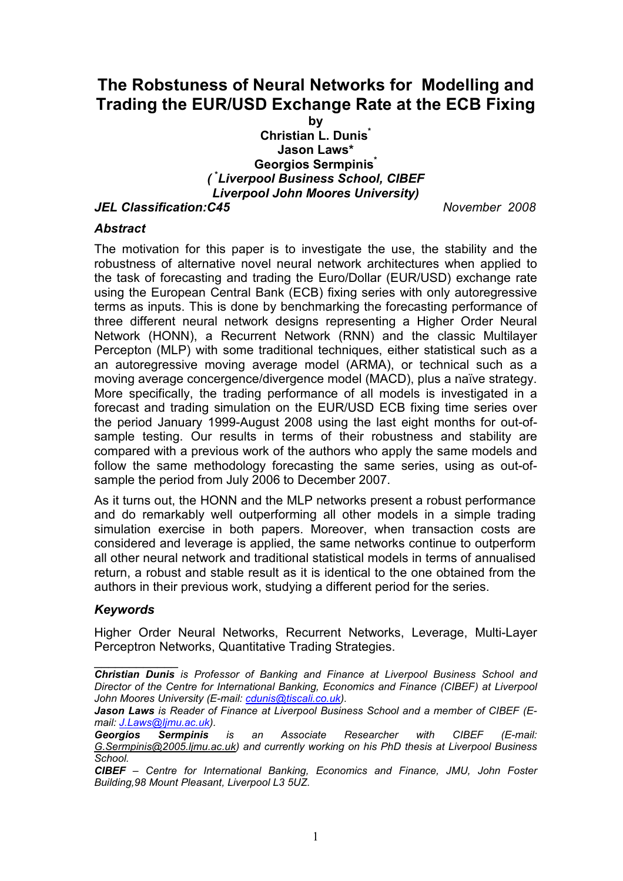# The Robstuness of Neural Networks for Modelling and Trading the EUR/USD Exchange Rate at the ECB Fixing

by

Christian L. Dunis<sup>\*</sup> Jason Laws\* Georgios Sermpinis<sup>\*</sup> ( \* Liverpool Business School, CIBEF Liverpool John Moores University)

JEL Classification:C45 November 2008

#### Abstract

The motivation for this paper is to investigate the use, the stability and the robustness of alternative novel neural network architectures when applied to the task of forecasting and trading the Euro/Dollar (EUR/USD) exchange rate using the European Central Bank (ECB) fixing series with only autoregressive terms as inputs. This is done by benchmarking the forecasting performance of three different neural network designs representing a Higher Order Neural Network (HONN), a Recurrent Network (RNN) and the classic Multilayer Percepton (MLP) with some traditional techniques, either statistical such as a an autoregressive moving average model (ARMA), or technical such as a moving average concergence/divergence model (MACD), plus a naïve strategy. More specifically, the trading performance of all models is investigated in a forecast and trading simulation on the EUR/USD ECB fixing time series over the period January 1999-August 2008 using the last eight months for out-ofsample testing. Our results in terms of their robustness and stability are compared with a previous work of the authors who apply the same models and follow the same methodology forecasting the same series, using as out-ofsample the period from July 2006 to December 2007.

As it turns out, the HONN and the MLP networks present a robust performance and do remarkably well outperforming all other models in a simple trading simulation exercise in both papers. Moreover, when transaction costs are considered and leverage is applied, the same networks continue to outperform all other neural network and traditional statistical models in terms of annualised return, a robust and stable result as it is identical to the one obtained from the authors in their previous work, studying a different period for the series.

#### Keywords

 $\overline{\phantom{a}}$ 

Higher Order Neural Networks, Recurrent Networks, Leverage, Multi-Layer Perceptron Networks, Quantitative Trading Strategies.

Christian Dunis is Professor of Banking and Finance at Liverpool Business School and Director of the Centre for International Banking, Economics and Finance (CIBEF) at Liverpool John Moores University (E-mail: cdunis@tiscali.co.uk).

Jason Laws is Reader of Finance at Liverpool Business School and a member of CIBEF (Email: J.Laws@ljmu.ac.uk).

Georgios Sermpinis is an Associate Researcher with CIBEF (E-mail: G.Sermpinis@2005.ljmu.ac.uk) and currently working on his PhD thesis at Liverpool Business School.

CIBEF – Centre for International Banking, Economics and Finance, JMU, John Foster Building,98 Mount Pleasant, Liverpool L3 5UZ.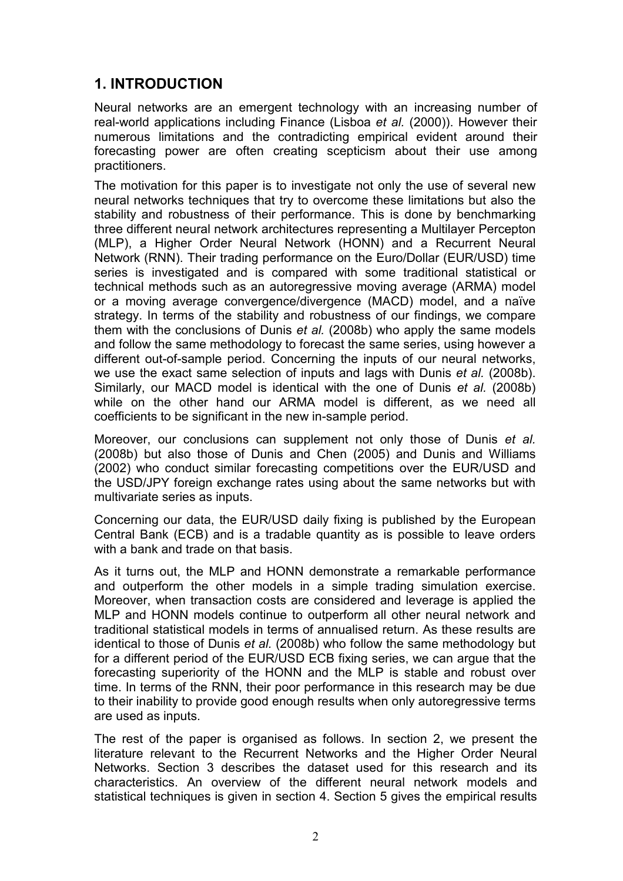## 1. INTRODUCTION

Neural networks are an emergent technology with an increasing number of real-world applications including Finance (Lisboa et al. (2000)). However their numerous limitations and the contradicting empirical evident around their forecasting power are often creating scepticism about their use among practitioners.

The motivation for this paper is to investigate not only the use of several new neural networks techniques that try to overcome these limitations but also the stability and robustness of their performance. This is done by benchmarking three different neural network architectures representing a Multilayer Percepton (MLP), a Higher Order Neural Network (HONN) and a Recurrent Neural Network (RNN). Their trading performance on the Euro/Dollar (EUR/USD) time series is investigated and is compared with some traditional statistical or technical methods such as an autoregressive moving average (ARMA) model or a moving average convergence/divergence (MACD) model, and a naïve strategy. In terms of the stability and robustness of our findings, we compare them with the conclusions of Dunis et al. (2008b) who apply the same models and follow the same methodology to forecast the same series, using however a different out-of-sample period. Concerning the inputs of our neural networks, we use the exact same selection of inputs and lags with Dunis *et al.* (2008b). Similarly, our MACD model is identical with the one of Dunis et al. (2008b) while on the other hand our ARMA model is different, as we need all coefficients to be significant in the new in-sample period.

Moreover, our conclusions can supplement not only those of Dunis et al. (2008b) but also those of Dunis and Chen (2005) and Dunis and Williams (2002) who conduct similar forecasting competitions over the EUR/USD and the USD/JPY foreign exchange rates using about the same networks but with multivariate series as inputs.

Concerning our data, the EUR/USD daily fixing is published by the European Central Bank (ECB) and is a tradable quantity as is possible to leave orders with a bank and trade on that basis.

As it turns out, the MLP and HONN demonstrate a remarkable performance and outperform the other models in a simple trading simulation exercise. Moreover, when transaction costs are considered and leverage is applied the MLP and HONN models continue to outperform all other neural network and traditional statistical models in terms of annualised return. As these results are identical to those of Dunis et al. (2008b) who follow the same methodology but for a different period of the EUR/USD ECB fixing series, we can argue that the forecasting superiority of the HONN and the MLP is stable and robust over time. In terms of the RNN, their poor performance in this research may be due to their inability to provide good enough results when only autoregressive terms are used as inputs.

The rest of the paper is organised as follows. In section 2, we present the literature relevant to the Recurrent Networks and the Higher Order Neural Networks. Section 3 describes the dataset used for this research and its characteristics. An overview of the different neural network models and statistical techniques is given in section 4. Section 5 gives the empirical results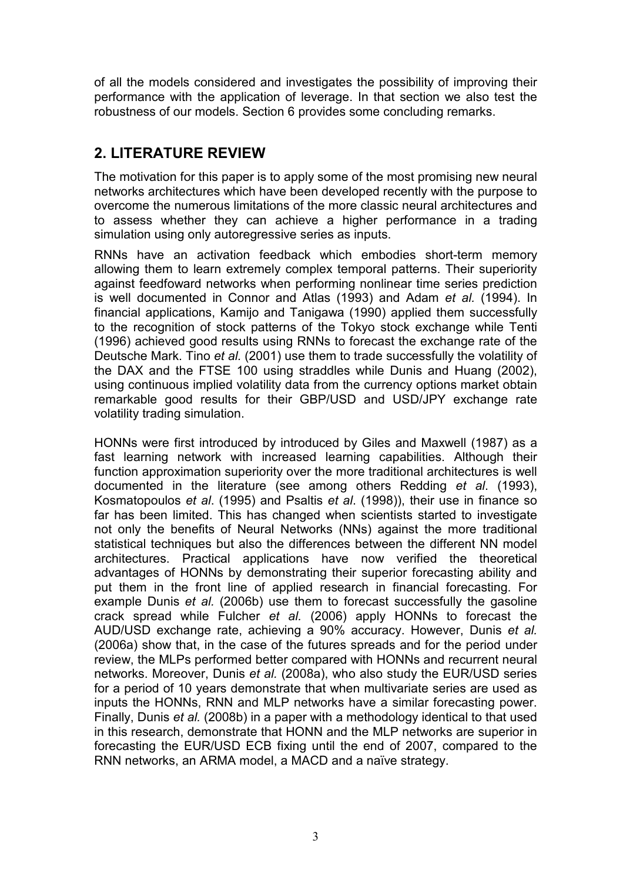of all the models considered and investigates the possibility of improving their performance with the application of leverage. In that section we also test the robustness of our models. Section 6 provides some concluding remarks.

# 2. LITERATURE REVIEW

The motivation for this paper is to apply some of the most promising new neural networks architectures which have been developed recently with the purpose to overcome the numerous limitations of the more classic neural architectures and to assess whether they can achieve a higher performance in a trading simulation using only autoregressive series as inputs.

RNNs have an activation feedback which embodies short-term memory allowing them to learn extremely complex temporal patterns. Their superiority against feedfoward networks when performing nonlinear time series prediction is well documented in Connor and Atlas (1993) and Adam et al. (1994). In financial applications, Kamijo and Tanigawa (1990) applied them successfully to the recognition of stock patterns of the Tokyo stock exchange while Tenti (1996) achieved good results using RNNs to forecast the exchange rate of the Deutsche Mark. Tino et al. (2001) use them to trade successfully the volatility of the DAX and the FTSE 100 using straddles while Dunis and Huang (2002), using continuous implied volatility data from the currency options market obtain remarkable good results for their GBP/USD and USD/JPY exchange rate volatility trading simulation.

HONNs were first introduced by introduced by Giles and Maxwell (1987) as a fast learning network with increased learning capabilities. Although their function approximation superiority over the more traditional architectures is well documented in the literature (see among others Redding et al. (1993), Kosmatopoulos et al. (1995) and Psaltis et al. (1998)), their use in finance so far has been limited. This has changed when scientists started to investigate not only the benefits of Neural Networks (NNs) against the more traditional statistical techniques but also the differences between the different NN model architectures. Practical applications have now verified the theoretical advantages of HONNs by demonstrating their superior forecasting ability and put them in the front line of applied research in financial forecasting. For example Dunis et al. (2006b) use them to forecast successfully the gasoline crack spread while Fulcher et al. (2006) apply HONNs to forecast the AUD/USD exchange rate, achieving a 90% accuracy. However, Dunis et al. (2006a) show that, in the case of the futures spreads and for the period under review, the MLPs performed better compared with HONNs and recurrent neural networks. Moreover, Dunis et al. (2008a), who also study the EUR/USD series for a period of 10 years demonstrate that when multivariate series are used as inputs the HONNs, RNN and MLP networks have a similar forecasting power. Finally, Dunis et al. (2008b) in a paper with a methodology identical to that used in this research, demonstrate that HONN and the MLP networks are superior in forecasting the EUR/USD ECB fixing until the end of 2007, compared to the RNN networks, an ARMA model, a MACD and a naïve strategy.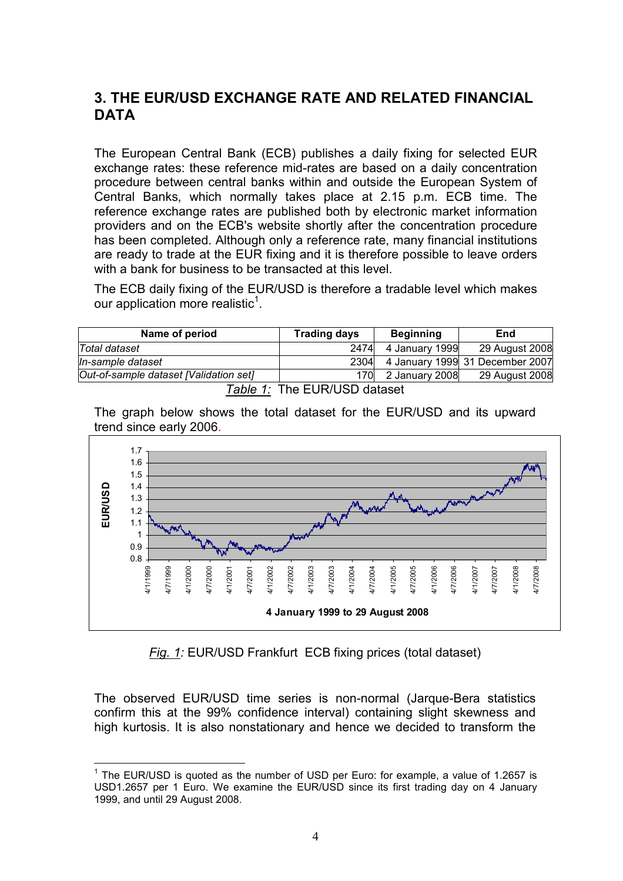## 3. THE EUR/USD EXCHANGE RATE AND RELATED FINANCIAL DATA

The European Central Bank (ECB) publishes a daily fixing for selected EUR exchange rates: these reference mid-rates are based on a daily concentration procedure between central banks within and outside the European System of Central Banks, which normally takes place at 2.15 p.m. ECB time. The reference exchange rates are published both by electronic market information providers and on the ECB's website shortly after the concentration procedure has been completed. Although only a reference rate, many financial institutions are ready to trade at the EUR fixing and it is therefore possible to leave orders with a bank for business to be transacted at this level.

The ECB daily fixing of the EUR/USD is therefore a tradable level which makes our application more realistic<sup>1</sup>.

| Name of period                         | <b>Trading days</b> | <b>Beginning</b> | End                             |  |  |  |
|----------------------------------------|---------------------|------------------|---------------------------------|--|--|--|
| Total dataset                          | 2474                | 4 January 1999   | 29 August 2008                  |  |  |  |
| In-sample dataset                      | 2304                |                  | 4 January 1999 31 December 2007 |  |  |  |
| Out-of-sample dataset [Validation set] | 170                 | 2 January 2008   | 29 August 2008                  |  |  |  |
| Table 1: The EUR/USD dataset           |                     |                  |                                 |  |  |  |

The graph below shows the total dataset for the EUR/USD and its upward trend since early 2006.



Fig. 1: EUR/USD Frankfurt ECB fixing prices (total dataset)

The observed EUR/USD time series is non-normal (Jarque-Bera statistics confirm this at the 99% confidence interval) containing slight skewness and high kurtosis. It is also nonstationary and hence we decided to transform the

 $\overline{a}$ <sup>1</sup> The EUR/USD is quoted as the number of USD per Euro: for example, a value of 1.2657 is USD1.2657 per 1 Euro. We examine the EUR/USD since its first trading day on 4 January 1999, and until 29 August 2008.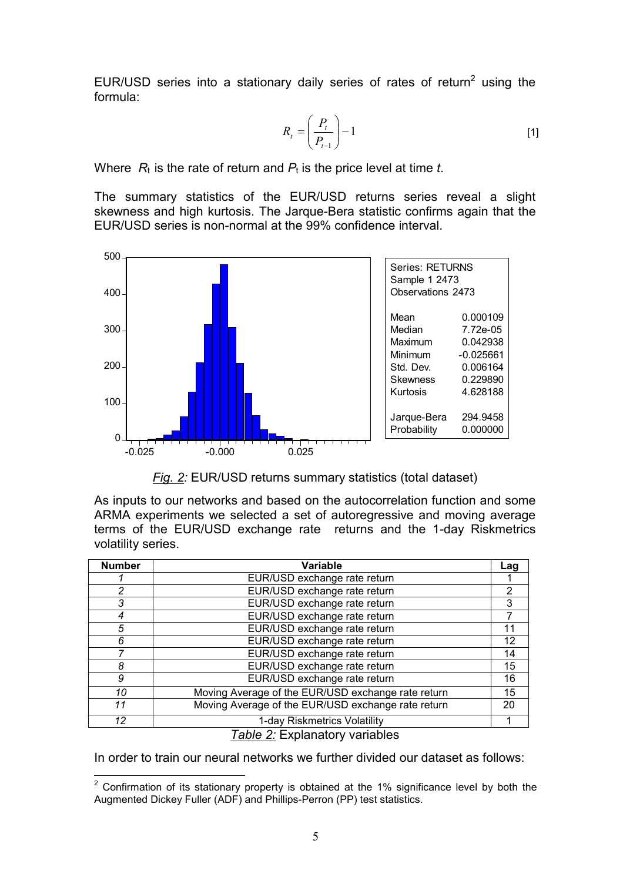EUR/USD series into a stationary daily series of rates of return<sup>2</sup> using the formula:

$$
R_t = \left(\frac{P_t}{P_{t-1}}\right) - 1\tag{1}
$$

Where  $R_t$  is the rate of return and  $P_t$  is the price level at time t.

The summary statistics of the EUR/USD returns series reveal a slight skewness and high kurtosis. The Jarque-Bera statistic confirms again that the EUR/USD series is non-normal at the 99% confidence interval.



Fig. 2: EUR/USD returns summary statistics (total dataset)

As inputs to our networks and based on the autocorrelation function and some ARMA experiments we selected a set of autoregressive and moving average terms of the EUR/USD exchange rate returns and the 1-day Riskmetrics volatility series.

| <b>Number</b> | Variable                                           | Lag |
|---------------|----------------------------------------------------|-----|
|               | EUR/USD exchange rate return                       |     |
| 2             | EUR/USD exchange rate return                       | 2   |
| 3             | EUR/USD exchange rate return                       | 3   |
| 4             | EUR/USD exchange rate return                       |     |
| 5             | EUR/USD exchange rate return                       | 11  |
| 6             | EUR/USD exchange rate return                       | 12  |
|               | EUR/USD exchange rate return                       | 14  |
| 8             | EUR/USD exchange rate return                       | 15  |
| 9             | EUR/USD exchange rate return                       | 16  |
| 10            | Moving Average of the EUR/USD exchange rate return | 15  |
| 11            | Moving Average of the EUR/USD exchange rate return | 20  |
| 12            | 1-day Riskmetrics Volatility                       |     |
|               | Table 2: Explanatory variables                     |     |

able 2: Explanatory variables

In order to train our neural networks we further divided our dataset as follows:

**EXECONFERENT CONFIRENT CONFIRENT**<br><sup>2</sup> Confirmation of its stationary property is obtained at the 1% significance level by both the Augmented Dickey Fuller (ADF) and Phillips-Perron (PP) test statistics.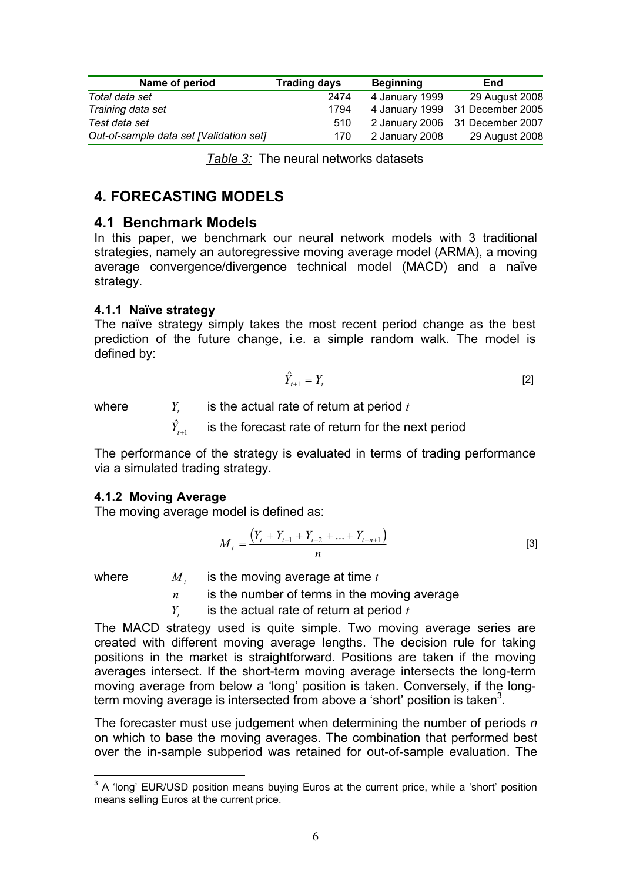| Name of period                          | <b>Trading days</b> | <b>Beginning</b> | End                             |
|-----------------------------------------|---------------------|------------------|---------------------------------|
| Total data set                          | 2474                | 4 January 1999   | 29 August 2008                  |
| Training data set                       | 1794                |                  | 4 January 1999 31 December 2005 |
| Test data set                           | 510                 |                  | 2 January 2006 31 December 2007 |
| Out-of-sample data set [Validation set] | 170                 | 2 January 2008   | 29 August 2008                  |

|  |  | Table 3: The neural networks datasets |  |  |
|--|--|---------------------------------------|--|--|
|--|--|---------------------------------------|--|--|

## 4. FORECASTING MODELS

#### 4.1 Benchmark Models

In this paper, we benchmark our neural network models with 3 traditional strategies, namely an autoregressive moving average model (ARMA), a moving average convergence/divergence technical model (MACD) and a naïve strategy.

#### 4.1.1 Naïve strategy

The naïve strategy simply takes the most recent period change as the best prediction of the future change, i.e. a simple random walk. The model is defined by:

$$
\hat{Y}_{t+1} = Y_t \tag{2}
$$

where  $Y_t$ 

is the actual rate of return at period  $t$ 

 $\hat{Y}_{t+1}$  is the forecast rate of return for the next period

The performance of the strategy is evaluated in terms of trading performance via a simulated trading strategy.

#### 4.1.2 Moving Average

The moving average model is defined as:

$$
M_{t} = \frac{(Y_{t} + Y_{t-1} + Y_{t-2} + \dots + Y_{t-n+1})}{n}
$$
 [3]

where  $M_t$ is the moving average at time  $t$ 

 $n_i$  is the number of terms in the moving average

 $Y_{t}$ is the actual rate of return at period  $t$ 

The MACD strategy used is quite simple. Two moving average series are created with different moving average lengths. The decision rule for taking positions in the market is straightforward. Positions are taken if the moving averages intersect. If the short-term moving average intersects the long-term moving average from below a 'long' position is taken. Conversely, if the longterm moving average is intersected from above a 'short' position is taken<sup>3</sup>.

The forecaster must use judgement when determining the number of periods n on which to base the moving averages. The combination that performed best over the in-sample subperiod was retained for out-of-sample evaluation. The

A SECT TO THE CURANT CONSERVIES A SURFALL TO A SURFALL THE SURFALL TO A SURFALL TO A SURFALL TO A SURFALL TO A<br>
A flong' EUR/USD position means buying Euros at the current price, while a 'short' position means selling Euros at the current price.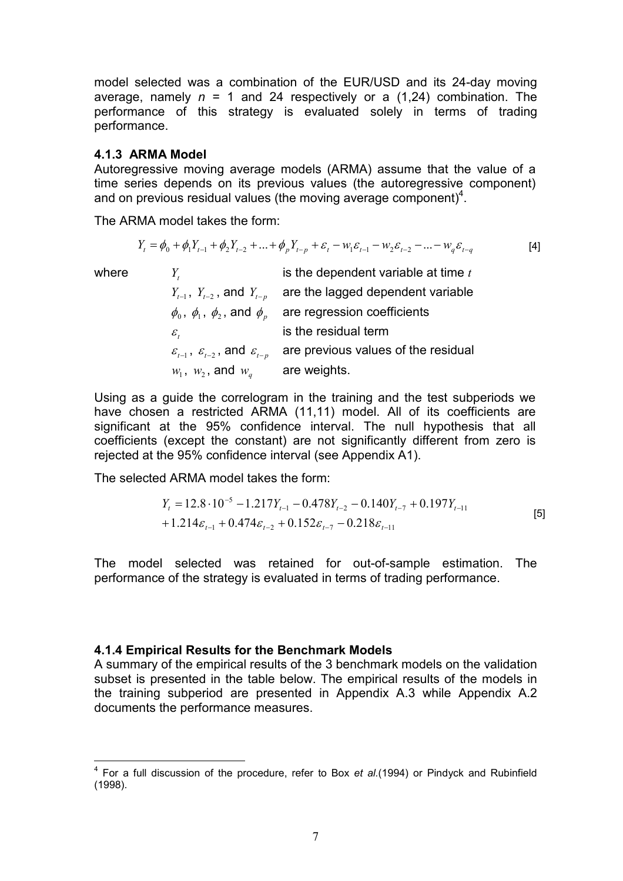model selected was a combination of the EUR/USD and its 24-day moving average, namely  $n = 1$  and 24 respectively or a (1,24) combination. The performance of this strategy is evaluated solely in terms of trading performance.

#### 4.1.3 ARMA Model

Autoregressive moving average models (ARMA) assume that the value of a time series depends on its previous values (the autoregressive component) and on previous residual values (the moving average component)<sup>4</sup>.

The ARMA model takes the form:

$$
Y_{t} = \phi_{0} + \phi_{1}Y_{t-1} + \phi_{2}Y_{t-2} + ... + \phi_{p}Y_{t-p} + \varepsilon_{t} - w_{1}\varepsilon_{t-1} - w_{2}\varepsilon_{t-2} - ... - w_{q}\varepsilon_{t-q}
$$
 [4]

where  $Y_t$ 

is the dependent variable at time  $t$  $Y_{t-1}$ ,  $Y_{t-2}$ , and  $Y_{t-p}$  are the lagged dependent variable  $\phi_0$ ,  $\phi_1$ ,  $\phi_2$ , and  $\phi_p$  are regression coefficients  $\mathcal{E}_t$ is the residual term  $\varepsilon_{t-1}$ ,  $\varepsilon_{t-2}$ , and  $\varepsilon_{t-p}$  are previous values of the residual  $w_1$ ,  $w_2$ , and  $w_q$ are weights.

Using as a guide the correlogram in the training and the test subperiods we have chosen a restricted ARMA (11,11) model. All of its coefficients are significant at the 95% confidence interval. The null hypothesis that all coefficients (except the constant) are not significantly different from zero is rejected at the 95% confidence interval (see Appendix A1).

The selected ARMA model takes the form:

$$
Y_{t} = 12.8 \cdot 10^{-5} - 1.217Y_{t-1} - 0.478Y_{t-2} - 0.140Y_{t-7} + 0.197Y_{t-11}
$$
  
+1.214 $\varepsilon_{t-1}$  + 0.474 $\varepsilon_{t-2}$  + 0.152 $\varepsilon_{t-7}$  - 0.218 $\varepsilon_{t-11}$  [5]

The model selected was retained for out-of-sample estimation. The performance of the strategy is evaluated in terms of trading performance.

#### 4.1.4 Empirical Results for the Benchmark Models

A summary of the empirical results of the 3 benchmark models on the validation subset is presented in the table below. The empirical results of the models in the training subperiod are presented in Appendix A.3 while Appendix A.2 documents the performance measures.

<sup>&</sup>lt;u>end the monditier of the subsetional controlled</u><br>The a full discussion of the procedure, refer to Box et al.(1994) or Pindyck and Rubinfield (1998).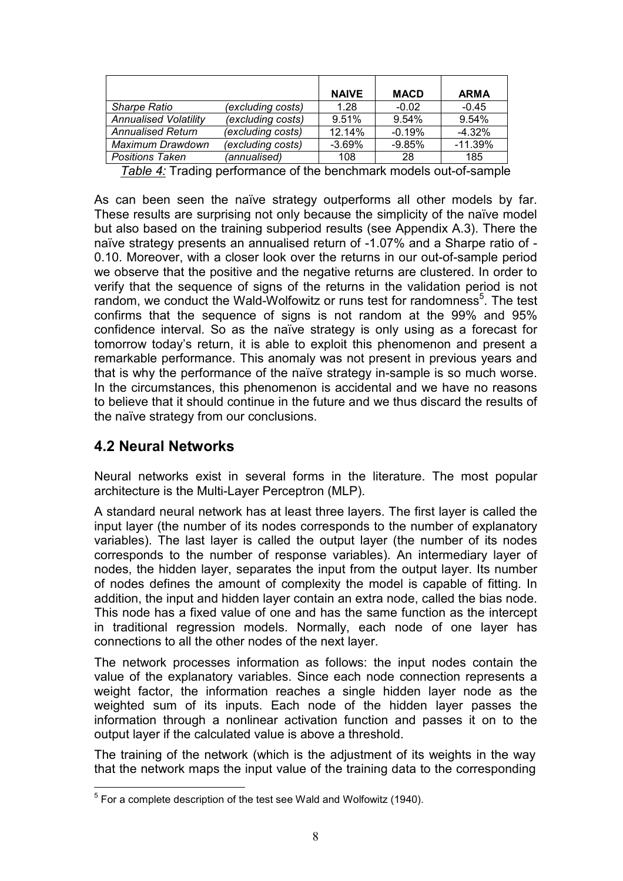|                   | <b>NAIVE</b> | <b>MACD</b> | <b>ARMA</b> |
|-------------------|--------------|-------------|-------------|
| (excluding costs) | 1.28         | $-0.02$     | $-0.45$     |
| (excluding costs) | 9.51%        | 9.54%       | 9.54%       |
| (excluding costs) | 12.14%       | $-0.19%$    | $-4.32%$    |
| (excluding costs) | $-3.69%$     | $-9.85%$    | $-11.39%$   |
| (annualised)      | 108          | 28          | 185         |
|                   |              |             |             |

Table 4: Trading performance of the benchmark models out-of-sample

As can been seen the naïve strategy outperforms all other models by far. These results are surprising not only because the simplicity of the naïve model but also based on the training subperiod results (see Appendix A.3). There the naïve strategy presents an annualised return of -1.07% and a Sharpe ratio of - 0.10. Moreover, with a closer look over the returns in our out-of-sample period we observe that the positive and the negative returns are clustered. In order to verify that the sequence of signs of the returns in the validation period is not random, we conduct the Wald-Wolfowitz or runs test for randomness<sup>5</sup>. The test confirms that the sequence of signs is not random at the 99% and 95% confidence interval. So as the naïve strategy is only using as a forecast for tomorrow today's return, it is able to exploit this phenomenon and present a remarkable performance. This anomaly was not present in previous years and that is why the performance of the naïve strategy in-sample is so much worse. In the circumstances, this phenomenon is accidental and we have no reasons to believe that it should continue in the future and we thus discard the results of the naïve strategy from our conclusions.

### 4.2 Neural Networks

Neural networks exist in several forms in the literature. The most popular architecture is the Multi-Layer Perceptron (MLP).

A standard neural network has at least three layers. The first layer is called the input layer (the number of its nodes corresponds to the number of explanatory variables). The last layer is called the output layer (the number of its nodes corresponds to the number of response variables). An intermediary layer of nodes, the hidden layer, separates the input from the output layer. Its number of nodes defines the amount of complexity the model is capable of fitting. In addition, the input and hidden layer contain an extra node, called the bias node. This node has a fixed value of one and has the same function as the intercept in traditional regression models. Normally, each node of one layer has connections to all the other nodes of the next layer.

The network processes information as follows: the input nodes contain the value of the explanatory variables. Since each node connection represents a weight factor, the information reaches a single hidden layer node as the weighted sum of its inputs. Each node of the hidden layer passes the information through a nonlinear activation function and passes it on to the output layer if the calculated value is above a threshold.

The training of the network (which is the adjustment of its weights in the way that the network maps the input value of the training data to the corresponding

 $\overline{a}$  $5$  For a complete description of the test see Wald and Wolfowitz (1940).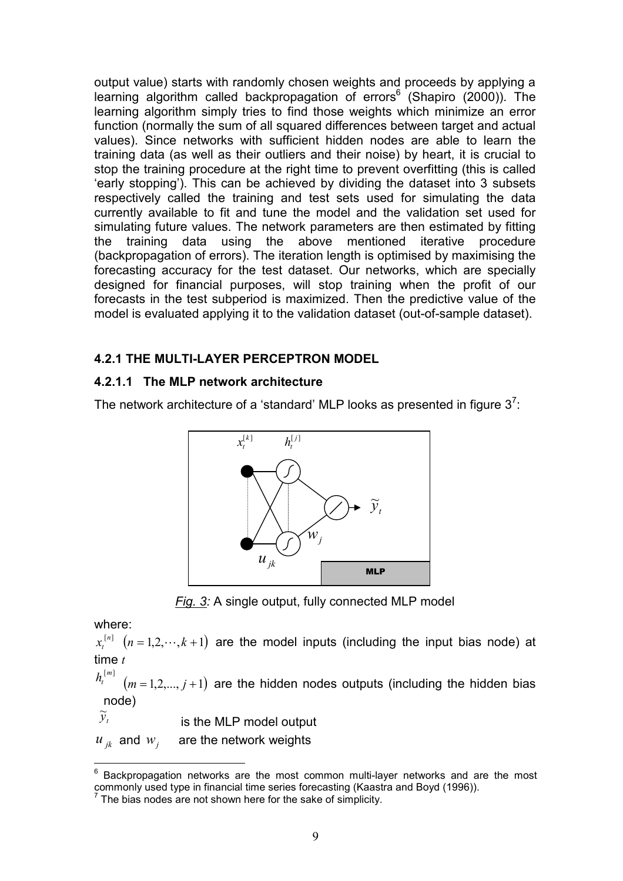output value) starts with randomly chosen weights and proceeds by applying a learning algorithm called backpropagation of errors<sup>6</sup> (Shapiro (2000)). The learning algorithm simply tries to find those weights which minimize an error function (normally the sum of all squared differences between target and actual values). Since networks with sufficient hidden nodes are able to learn the training data (as well as their outliers and their noise) by heart, it is crucial to stop the training procedure at the right time to prevent overfitting (this is called 'early stopping'). This can be achieved by dividing the dataset into 3 subsets respectively called the training and test sets used for simulating the data currently available to fit and tune the model and the validation set used for simulating future values. The network parameters are then estimated by fitting the training data using the above mentioned iterative procedure (backpropagation of errors). The iteration length is optimised by maximising the forecasting accuracy for the test dataset. Our networks, which are specially designed for financial purposes, will stop training when the profit of our forecasts in the test subperiod is maximized. Then the predictive value of the model is evaluated applying it to the validation dataset (out-of-sample dataset).

#### 4.2.1 THE MULTI-LAYER PERCEPTRON MODEL

#### 4.2.1.1 The MLP network architecture

The network architecture of a 'standard' MLP looks as presented in figure  $3^7$ :



Fig. 3: A single output, fully connected MLP model

where:

[n]  $x_t^{[n]}$   $(n = 1, 2, \dots, k + 1)$  are the model inputs (including the input bias node) at time  $t$ 

 $h_{\cdot}^{[m]}$  $(m = 1, 2, ..., i + 1)$  are the hidden nodes outputs (including the hidden bias node)

 $\widetilde{y}_t$ is the MLP model output

 $u_{ik}$  and  $w_i$ are the network weights

**ENET 1.1 EXET 2018**<br>
Exackpropagation networks are the most common multi-layer networks and are the most commonly used type in financial time series forecasting (Kaastra and Boyd (1996)). 7 The bias nodes are not shown here for the sake of simplicity.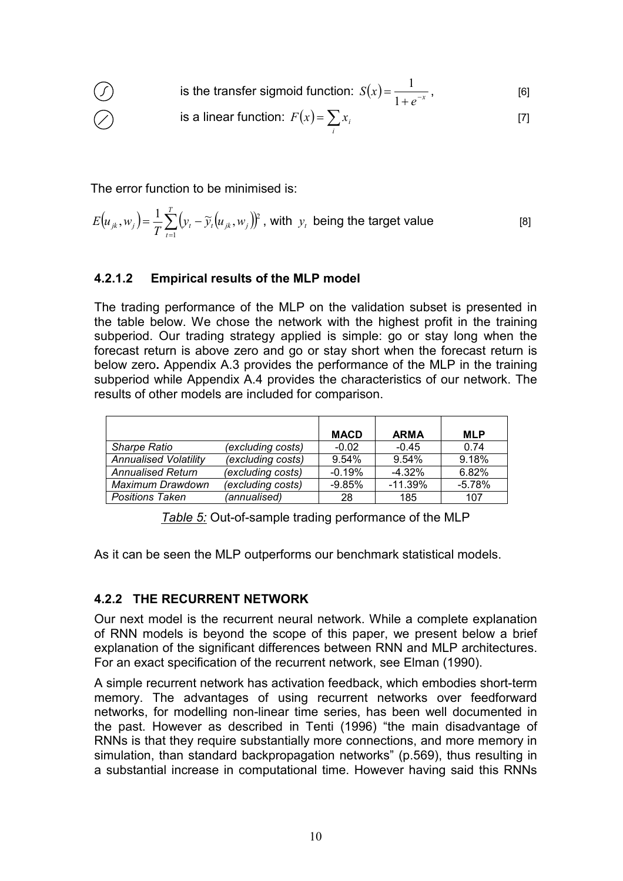is the transfer sigmoid function: 
$$
S(x) = \frac{1}{1 + e^{-x}}
$$
, [6]

is a linear function: 
$$
F(x) = \sum_{i} x_i
$$
 [7]

The error function to be minimised is:

$$
E(u_{jk}, w_j) = \frac{1}{T} \sum_{t=1}^{T} (y_t - \widetilde{y}_t(u_{jk}, w_j))^2
$$
, with  $y_t$  being the target value [8]

#### 4.2.1.2 Empirical results of the MLP model

The trading performance of the MLP on the validation subset is presented in the table below. We chose the network with the highest profit in the training subperiod. Our trading strategy applied is simple: go or stay long when the forecast return is above zero and go or stay short when the forecast return is below zero. Appendix A.3 provides the performance of the MLP in the training subperiod while Appendix A.4 provides the characteristics of our network. The results of other models are included for comparison.

|                              |                   | <b>MACD</b> | <b>ARMA</b> | <b>MLP</b> |
|------------------------------|-------------------|-------------|-------------|------------|
| <b>Sharpe Ratio</b>          | (excluding costs) | $-0.02$     | $-0.45$     | 0.74       |
| <b>Annualised Volatility</b> | (excluding costs) | 9.54%       | 9.54%       | 9.18%      |
| <b>Annualised Return</b>     | (excluding costs) | $-0.19%$    | $-4.32%$    | 6.82%      |
| Maximum Drawdown             | (excluding costs) | $-9.85%$    | $-11.39%$   | $-5.78%$   |
| <b>Positions Taken</b>       | (annualised)      | 28          | 185         | 107        |

Table 5: Out-of-sample trading performance of the MLP

As it can be seen the MLP outperforms our benchmark statistical models.

### 4.2.2 THE RECURRENT NETWORK

Our next model is the recurrent neural network. While a complete explanation of RNN models is beyond the scope of this paper, we present below a brief explanation of the significant differences between RNN and MLP architectures. For an exact specification of the recurrent network, see Elman (1990).

A simple recurrent network has activation feedback, which embodies short-term memory. The advantages of using recurrent networks over feedforward networks, for modelling non-linear time series, has been well documented in the past. However as described in Tenti (1996) "the main disadvantage of RNNs is that they require substantially more connections, and more memory in simulation, than standard backpropagation networks" (p.569), thus resulting in a substantial increase in computational time. However having said this RNNs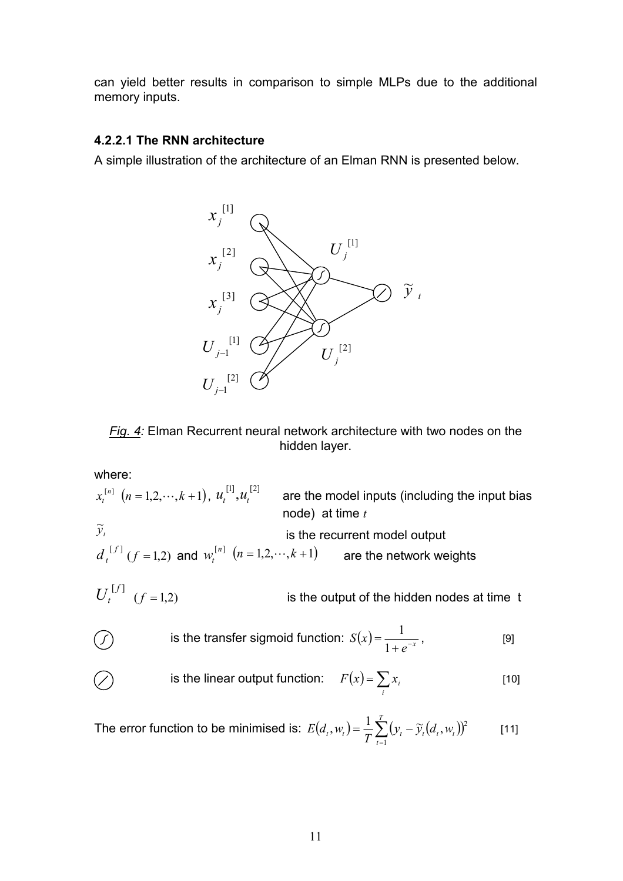can yield better results in comparison to simple MLPs due to the additional memory inputs.

#### 4.2.2.1 The RNN architecture

A simple illustration of the architecture of an Elman RNN is presented below.



Fig. 4: Elman Recurrent neural network architecture with two nodes on the hidden layer.

where:

 $\lceil n \rceil$  $x_t^{[n]}$   $(n = 1, 2, \dots, k + 1)$ ,  $u_t^{[1]}$ ,  $u_t^{[2]}$  are the model inputs (including the input bias node) at time  $t$  $\widetilde{y}_t$  is the recurrent model output  $d_t^{[f]}(f=1,2)$  and  $w_t^{[n]}$   $(n=1,2,\dots,k+1)$  are the network weights  $U_t^{[f]}$   $(f = 1,2)$ is the output of the hidden nodes at time t  $\textcircled{f}$  is the transfer sigmoid function:  $S(x) = \frac{1}{1 + e^{-x}}$  $S(x) = \frac{1}{1+e^{-x}}$ = 1 1  $[9]$  $\bigcirc$  is the linear output function:  $F(x) = \sum_{i}$  $F(x) = \sum x_i$  [10]

The error function to be minimised is:  $E(d_t, w_t) = \frac{1}{T} \sum_{t=1}^{T} (y_t - \widetilde{y}_t(d_t, w_t))^2$  $=\frac{1}{x} \sum_{i=1}^{T} (y_i$ t  $(t_i, w_t) = \frac{1}{T} \sum_{t} (y_t - \widetilde{y}_t (d_t, w_t))$ T  $E(d_{_t}, w$ 1  $(u, w_t) = \frac{1}{\pi} \sum_{i=1}^{T} (y_t - \widetilde{y}_t(d_t, w_t))^2$  [11]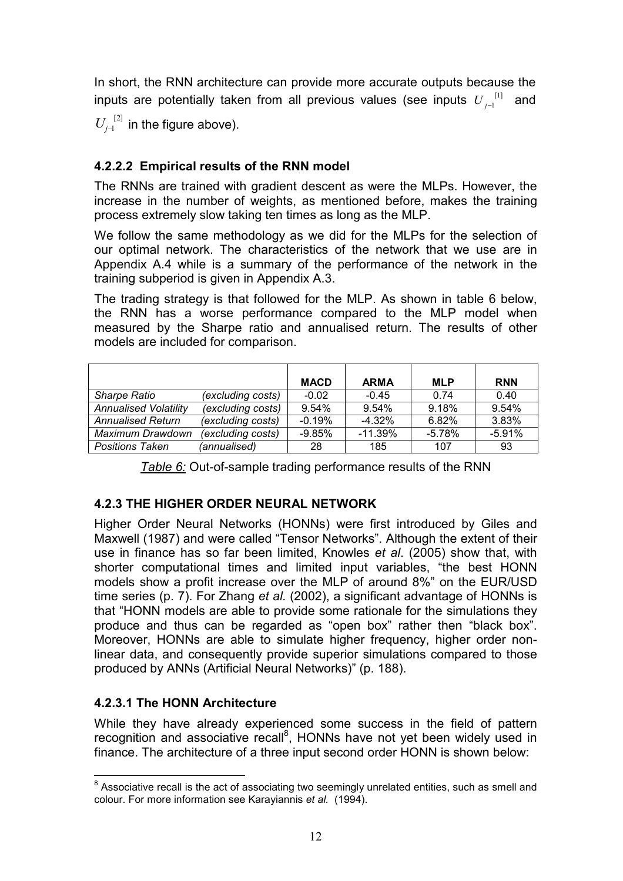In short, the RNN architecture can provide more accurate outputs because the inputs are potentially taken from all previous values (see inputs  $\left[U_{j-1}^{[1]} \right]$  and

 $U_{j-1}^{[2]}$  in the figure above).

### 4.2.2.2 Empirical results of the RNN model

The RNNs are trained with gradient descent as were the MLPs. However, the increase in the number of weights, as mentioned before, makes the training process extremely slow taking ten times as long as the MLP.

We follow the same methodology as we did for the MLPs for the selection of our optimal network. The characteristics of the network that we use are in Appendix A.4 while is a summary of the performance of the network in the training subperiod is given in Appendix A.3.

The trading strategy is that followed for the MLP. As shown in table 6 below, the RNN has a worse performance compared to the MLP model when measured by the Sharpe ratio and annualised return. The results of other models are included for comparison.

|                              |                   | <b>MACD</b> | <b>ARMA</b> | <b>MLP</b> | <b>RNN</b> |
|------------------------------|-------------------|-------------|-------------|------------|------------|
| Sharpe Ratio                 | (excluding costs) | $-0.02$     | $-0.45$     | 0.74       | 0.40       |
| <b>Annualised Volatility</b> | (excluding costs) | 9.54%       | 9.54%       | 9.18%      | 9.54%      |
| <b>Annualised Return</b>     | (excluding costs) | $-0.19%$    | $-4.32\%$   | 6.82%      | 3.83%      |
| Maximum Drawdown             | (excluding costs) | $-9.85%$    | $-11.39%$   | $-5.78%$   | $-5.91%$   |
| <b>Positions Taken</b>       | (annualised)      | 28          | 185         | 107        | 93         |

Table 6: Out-of-sample trading performance results of the RNN

### 4.2.3 THE HIGHER ORDER NEURAL NETWORK

Higher Order Neural Networks (HONNs) were first introduced by Giles and Maxwell (1987) and were called "Tensor Networks". Although the extent of their use in finance has so far been limited, Knowles et al. (2005) show that, with shorter computational times and limited input variables, "the best HONN models show a profit increase over the MLP of around 8%" on the EUR/USD time series (p. 7). For Zhang et al. (2002), a significant advantage of HONNs is that "HONN models are able to provide some rationale for the simulations they produce and thus can be regarded as "open box" rather then "black box". Moreover, HONNs are able to simulate higher frequency, higher order nonlinear data, and consequently provide superior simulations compared to those produced by ANNs (Artificial Neural Networks)" (p. 188).

### 4.2.3.1 The HONN Architecture

While they have already experienced some success in the field of pattern recognition and associative recall<sup>8</sup>, HONNs have not yet been widely used in finance. The architecture of a three input second order HONN is shown below:

erthanance mernion and the mattar and the merrician and the secondary and and the secondary as smell and the s<br>The seconditive recall is the act of associating two seemingly unrelated entities, such as smell and the second colour. For more information see Karayiannis et al. (1994).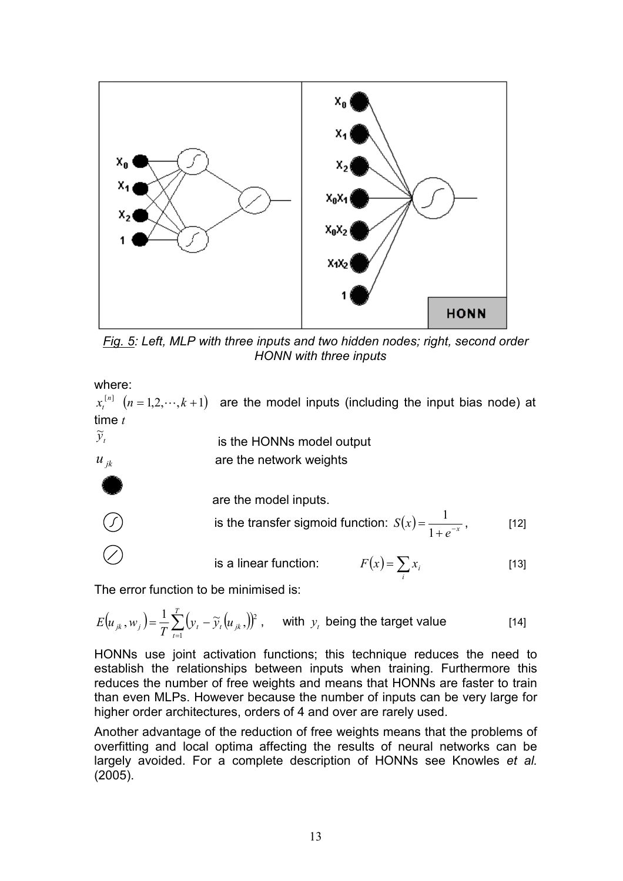

Fig. 5: Left, MLP with three inputs and two hidden nodes; right, second order HONN with three inputs

where:

 $\widetilde{\mathcal{Y}}_t$ 

[n]  $x_t^{[n]}$   $(n = 1, 2, \dots, k + 1)$  are the model inputs (including the input bias node) at time  $t$ 

 is the HONNs model output  $u_{ik}$  are the network weights

are the model inputs.

is the transfer sigmoid function: 
$$
S(x) = \frac{1}{1 + e^{-x}}
$$
, [12]

is a linear function: i  $F(x) = \sum x_i$  [13]

The error function to be minimised is:

$$
E(u_{jk}, w_j) = \frac{1}{T} \sum_{t=1}^{T} (y_t - \widetilde{y}_t(u_{jk},))^2, \quad \text{with } y_t \text{ being the target value}
$$
 [14]

HONNs use joint activation functions; this technique reduces the need to establish the relationships between inputs when training. Furthermore this reduces the number of free weights and means that HONNs are faster to train than even MLPs. However because the number of inputs can be very large for higher order architectures, orders of 4 and over are rarely used.

Another advantage of the reduction of free weights means that the problems of overfitting and local optima affecting the results of neural networks can be largely avoided. For a complete description of HONNs see Knowles et al. (2005).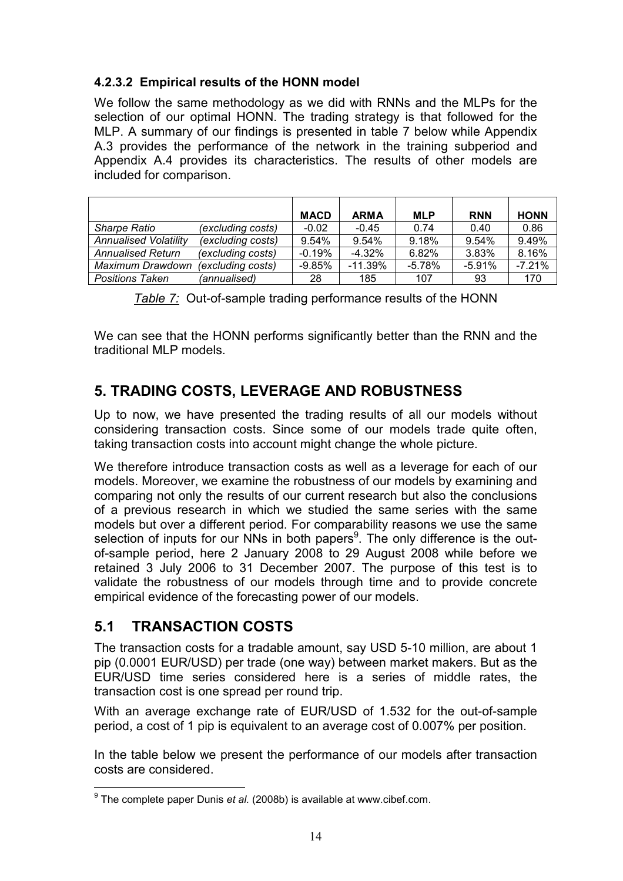### 4.2.3.2 Empirical results of the HONN model

We follow the same methodology as we did with RNNs and the MLPs for the selection of our optimal HONN. The trading strategy is that followed for the MLP. A summary of our findings is presented in table 7 below while Appendix A.3 provides the performance of the network in the training subperiod and Appendix A.4 provides its characteristics. The results of other models are included for comparison.

|                              |                   | <b>MACD</b> | <b>ARMA</b> | <b>MLP</b> | <b>RNN</b> | <b>HONN</b> |
|------------------------------|-------------------|-------------|-------------|------------|------------|-------------|
| <b>Sharpe Ratio</b>          | (excluding costs) | $-0.02$     | $-0.45$     | 0.74       | 0.40       | 0.86        |
| <b>Annualised Volatility</b> | (excluding costs) | 9.54%       | 9.54%       | 9.18%      | 9.54%      | 9.49%       |
| <b>Annualised Return</b>     | (excluding costs) | $-0.19%$    | $-4.32\%$   | 6.82%      | 3.83%      | 8.16%       |
| Maximum Drawdown             | (excluding costs) | $-9.85%$    | $-11.39\%$  | $-5.78%$   | $-5.91%$   | -7.21%      |
| <b>Positions Taken</b>       | (annualised)      | 28          | 185         | 107        | 93         | 170         |

Table 7: Out-of-sample trading performance results of the HONN

We can see that the HONN performs significantly better than the RNN and the traditional MLP models.

# 5. TRADING COSTS, LEVERAGE AND ROBUSTNESS

Up to now, we have presented the trading results of all our models without considering transaction costs. Since some of our models trade quite often, taking transaction costs into account might change the whole picture.

We therefore introduce transaction costs as well as a leverage for each of our models. Moreover, we examine the robustness of our models by examining and comparing not only the results of our current research but also the conclusions of a previous research in which we studied the same series with the same models but over a different period. For comparability reasons we use the same selection of inputs for our NNs in both papers<sup>9</sup>. The only difference is the outof-sample period, here 2 January 2008 to 29 August 2008 while before we retained 3 July 2006 to 31 December 2007. The purpose of this test is to validate the robustness of our models through time and to provide concrete empirical evidence of the forecasting power of our models.

## 5.1 TRANSACTION COSTS

The transaction costs for a tradable amount, say USD 5-10 million, are about 1 pip (0.0001 EUR/USD) per trade (one way) between market makers. But as the EUR/USD time series considered here is a series of middle rates, the transaction cost is one spread per round trip.

With an average exchange rate of EUR/USD of 1.532 for the out-of-sample period, a cost of 1 pip is equivalent to an average cost of 0.007% per position.

In the table below we present the performance of our models after transaction costs are considered.

 $\overline{1}$  $^9$  The complete paper Dunis *et al.* (2008b) is available at www.cibef.com.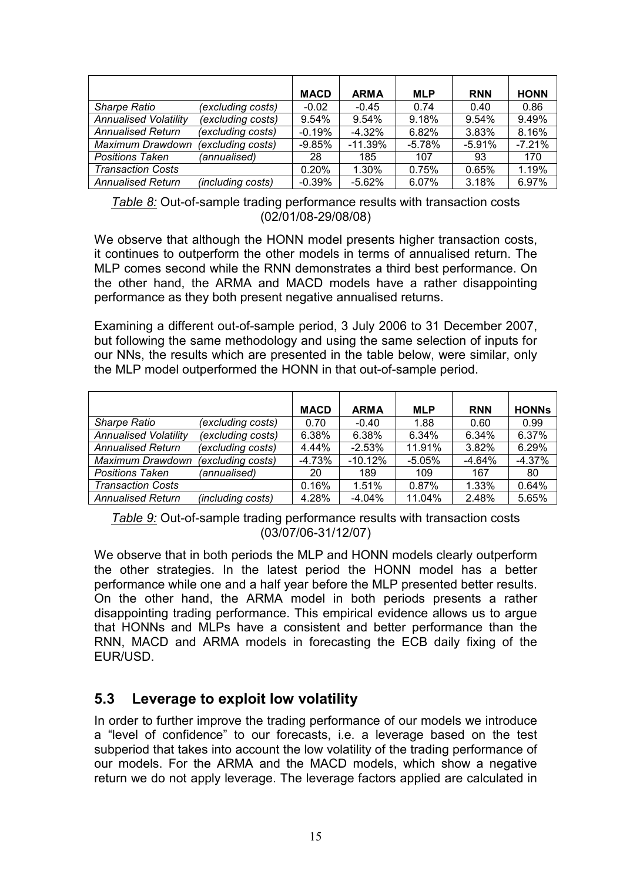|                              |                   | <b>MACD</b> | <b>ARMA</b> | <b>MLP</b> | <b>RNN</b> | <b>HONN</b> |
|------------------------------|-------------------|-------------|-------------|------------|------------|-------------|
| <b>Sharpe Ratio</b>          | (excluding costs) | $-0.02$     | $-0.45$     | 0.74       | 0.40       | 0.86        |
| <b>Annualised Volatility</b> | (excluding costs) | 9.54%       | 9.54%       | 9.18%      | 9.54%      | 9.49%       |
| <b>Annualised Return</b>     | (excluding costs) | $-0.19%$    | $-4.32%$    | 6.82%      | 3.83%      | 8.16%       |
| Maximum Drawdown             | (excluding costs) | $-9.85%$    | $-11.39%$   | $-5.78%$   | $-5.91%$   | $-7.21%$    |
| <b>Positions Taken</b>       | (annualised)      | 28          | 185         | 107        | 93         | 170         |
| <b>Transaction Costs</b>     |                   | 0.20%       | 1.30%       | 0.75%      | 0.65%      | 1.19%       |
| <b>Annualised Return</b>     | (including costs) | $-0.39%$    | $-5.62%$    | 6.07%      | 3.18%      | 6.97%       |

Table 8: Out-of-sample trading performance results with transaction costs (02/01/08-29/08/08)

We observe that although the HONN model presents higher transaction costs, it continues to outperform the other models in terms of annualised return. The MLP comes second while the RNN demonstrates a third best performance. On the other hand, the ARMA and MACD models have a rather disappointing performance as they both present negative annualised returns.

Examining a different out-of-sample period, 3 July 2006 to 31 December 2007, but following the same methodology and using the same selection of inputs for our NNs, the results which are presented in the table below, were similar, only the MLP model outperformed the HONN in that out-of-sample period.

|                              |                   | <b>MACD</b> | <b>ARMA</b> | <b>MLP</b> | <b>RNN</b> | <b>HONNS</b> |
|------------------------------|-------------------|-------------|-------------|------------|------------|--------------|
| <b>Sharpe Ratio</b>          | (excluding costs) | 0.70        | $-0.40$     | 1.88       | 0.60       | 0.99         |
| <b>Annualised Volatility</b> | (excluding costs) | 6.38%       | 6.38%       | 6.34%      | 6.34%      | 6.37%        |
| <b>Annualised Return</b>     | (excluding costs) | 4.44%       | $-2.53%$    | 11.91%     | 3.82%      | 6.29%        |
| Maximum Drawdown             | (excluding costs) | $-4.73%$    | $-10.12%$   | $-5.05%$   | $-4.64%$   | $-4.37%$     |
| <b>Positions Taken</b>       | (annualised)      | 20          | 189         | 109        | 167        | 80           |
| <b>Transaction Costs</b>     |                   | 0.16%       | 1.51%       | 0.87%      | 1.33%      | 0.64%        |
| <b>Annualised Return</b>     | (including costs) | 4.28%       | $-4.04%$    | 11.04%     | 2.48%      | 5.65%        |

**Table 9:** Out-of-sample trading performance results with transaction costs (03/07/06-31/12/07)

We observe that in both periods the MLP and HONN models clearly outperform the other strategies. In the latest period the HONN model has a better performance while one and a half year before the MLP presented better results. On the other hand, the ARMA model in both periods presents a rather disappointing trading performance. This empirical evidence allows us to argue that HONNs and MLPs have a consistent and better performance than the RNN, MACD and ARMA models in forecasting the ECB daily fixing of the EUR/USD.

## 5.3 Leverage to exploit low volatility

In order to further improve the trading performance of our models we introduce a "level of confidence" to our forecasts, i.e. a leverage based on the test subperiod that takes into account the low volatility of the trading performance of our models. For the ARMA and the MACD models, which show a negative return we do not apply leverage. The leverage factors applied are calculated in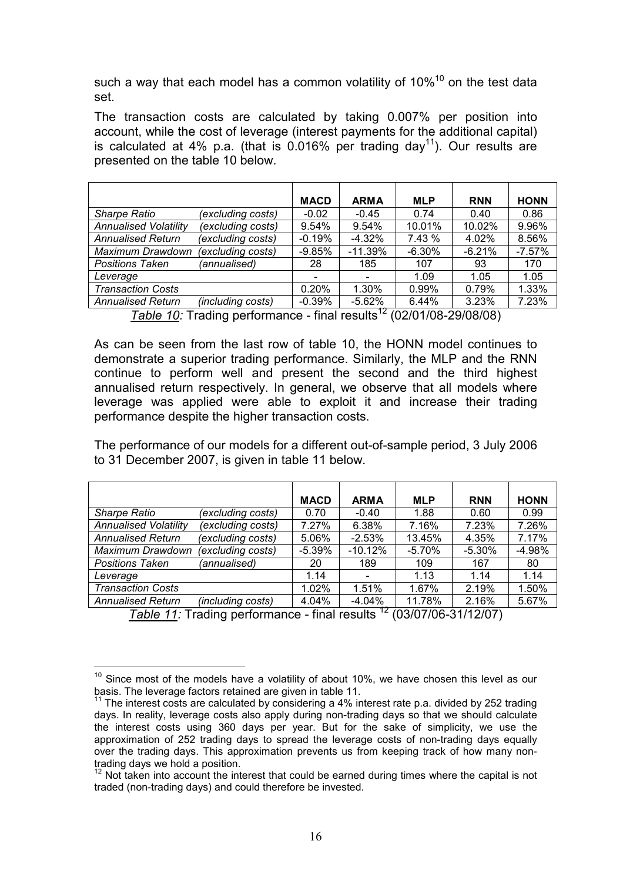such a way that each model has a common volatility of  $10\%$ <sup>10</sup> on the test data set.

The transaction costs are calculated by taking 0.007% per position into account, while the cost of leverage (interest payments for the additional capital) is calculated at 4% p.a. (that is  $0.016\%$  per trading day<sup>11</sup>). Our results are presented on the table 10 below.

|                              |                   | <b>MACD</b>   | <b>ARMA</b> | <b>MLP</b> | <b>RNN</b> | <b>HONN</b> |
|------------------------------|-------------------|---------------|-------------|------------|------------|-------------|
| <b>Sharpe Ratio</b>          | (excluding costs) | $-0.02$       | $-0.45$     | 0.74       | 0.40       | 0.86        |
| <b>Annualised Volatility</b> | (excluding costs) | 9.54%         | 9.54%       | 10.01%     | 10.02%     | 9.96%       |
| <b>Annualised Return</b>     | (excluding costs) | $-0.19%$      | $-4.32%$    | 7.43 %     | 4.02%      | 8.56%       |
| Maximum Drawdown             | (excluding costs) | $-9.85%$      | $-11.39%$   | $-6.30%$   | $-6.21%$   | $-7.57%$    |
| <b>Positions Taken</b>       | (annualised)      | 28            | 185         | 107        | 93         | 170         |
| Leverage                     |                   |               | -           | 1.09       | 1.05       | 1.05        |
| <b>Transaction Costs</b>     |                   | 0.20%         | 1.30%       | 0.99%      | 0.79%      | 1.33%       |
| <b>Annualised Return</b>     | (including costs) | $-0.39%$      | $-5.62%$    | 6.44%      | 3.23%      | 7.23%       |
| _                            |                   | $\sim$ $\sim$ |             |            |            |             |

Table 10: Trading performance - final results<sup>12</sup> (02/01/08-29/08/08)

As can be seen from the last row of table 10, the HONN model continues to demonstrate a superior trading performance. Similarly, the MLP and the RNN continue to perform well and present the second and the third highest annualised return respectively. In general, we observe that all models where leverage was applied were able to exploit it and increase their trading performance despite the higher transaction costs.

The performance of our models for a different out-of-sample period, 3 July 2006 to 31 December 2007, is given in table 11 below.

|                              |                   | <b>MACD</b> | <b>ARMA</b>                | <b>MLP</b> | <b>RNN</b> | <b>HONN</b> |
|------------------------------|-------------------|-------------|----------------------------|------------|------------|-------------|
| <b>Sharpe Ratio</b>          | (excluding costs) | 0.70        | $-0.40$                    | 1.88       | 0.60       | 0.99        |
| <b>Annualised Volatility</b> | (excluding costs) | 7.27%       | 6.38%                      | 7.16%      | 7.23%      | 7.26%       |
| <b>Annualised Return</b>     | (excluding costs) | 5.06%       | $-2.53%$                   | 13.45%     | 4.35%      | 7.17%       |
| Maximum Drawdown             | (excluding costs) | $-5.39%$    | $-10.12%$                  | $-5.70%$   | $-5.30\%$  | $-4.98%$    |
| <b>Positions Taken</b>       | (annualised)      | 20          | 189                        | 109        | 167        | 80          |
| Leverage                     |                   | 1.14        | $\overline{\phantom{a}}$   | 1.13       | 1.14       | 1.14        |
| <b>Transaction Costs</b>     |                   | $1.02\%$    | 1.51%                      | 1.67%      | 2.19%      | 1.50%       |
| <b>Annualised Return</b>     | (including costs) | 4.04%       | $-4.04%$<br>$\overline{1}$ | 11.78%     | 2.16%      | 5.67%       |

Table 11: Trading performance - final results  $12$  (03/07/06-31/12/07)

 $\overline{a}$  $10$  Since most of the models have a volatility of about 10%, we have chosen this level as our basis. The leverage factors retained are given in table 11.

 $11$  The interest costs are calculated by considering a 4% interest rate p.a. divided by 252 trading days. In reality, leverage costs also apply during non-trading days so that we should calculate the interest costs using 360 days per year. But for the sake of simplicity, we use the approximation of 252 trading days to spread the leverage costs of non-trading days equally over the trading days. This approximation prevents us from keeping track of how many nontrading days we hold a position.

<sup>&</sup>lt;sup>12</sup> Not taken into account the interest that could be earned during times where the capital is not traded (non-trading days) and could therefore be invested.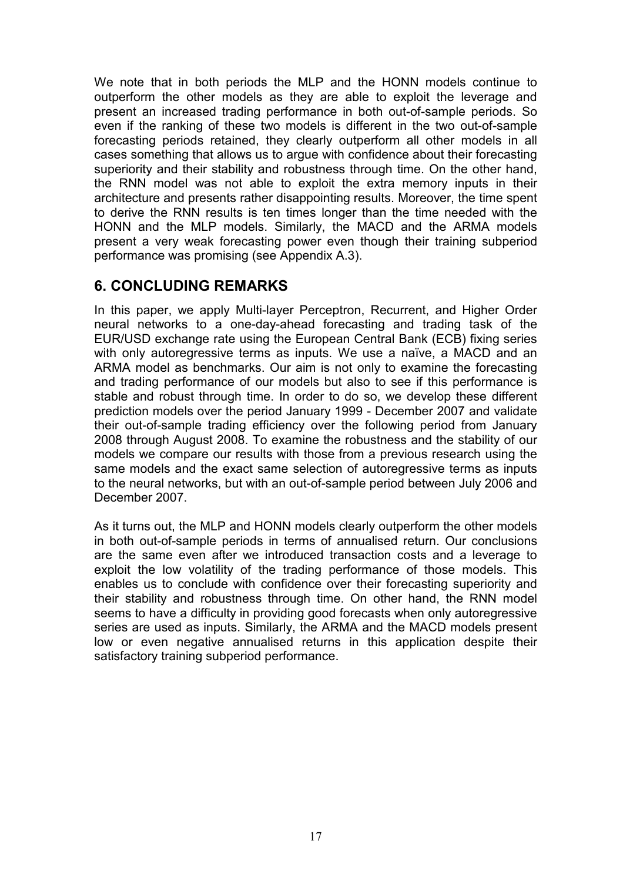We note that in both periods the MLP and the HONN models continue to outperform the other models as they are able to exploit the leverage and present an increased trading performance in both out-of-sample periods. So even if the ranking of these two models is different in the two out-of-sample forecasting periods retained, they clearly outperform all other models in all cases something that allows us to argue with confidence about their forecasting superiority and their stability and robustness through time. On the other hand, the RNN model was not able to exploit the extra memory inputs in their architecture and presents rather disappointing results. Moreover, the time spent to derive the RNN results is ten times longer than the time needed with the HONN and the MLP models. Similarly, the MACD and the ARMA models present a very weak forecasting power even though their training subperiod performance was promising (see Appendix A.3).

### 6. CONCLUDING REMARKS

In this paper, we apply Multi-layer Perceptron, Recurrent, and Higher Order neural networks to a one-day-ahead forecasting and trading task of the EUR/USD exchange rate using the European Central Bank (ECB) fixing series with only autoregressive terms as inputs. We use a naïve, a MACD and an ARMA model as benchmarks. Our aim is not only to examine the forecasting and trading performance of our models but also to see if this performance is stable and robust through time. In order to do so, we develop these different prediction models over the period January 1999 - December 2007 and validate their out-of-sample trading efficiency over the following period from January 2008 through August 2008. To examine the robustness and the stability of our models we compare our results with those from a previous research using the same models and the exact same selection of autoregressive terms as inputs to the neural networks, but with an out-of-sample period between July 2006 and December 2007.

As it turns out, the MLP and HONN models clearly outperform the other models in both out-of-sample periods in terms of annualised return. Our conclusions are the same even after we introduced transaction costs and a leverage to exploit the low volatility of the trading performance of those models. This enables us to conclude with confidence over their forecasting superiority and their stability and robustness through time. On other hand, the RNN model seems to have a difficulty in providing good forecasts when only autoregressive series are used as inputs. Similarly, the ARMA and the MACD models present low or even negative annualised returns in this application despite their satisfactory training subperiod performance.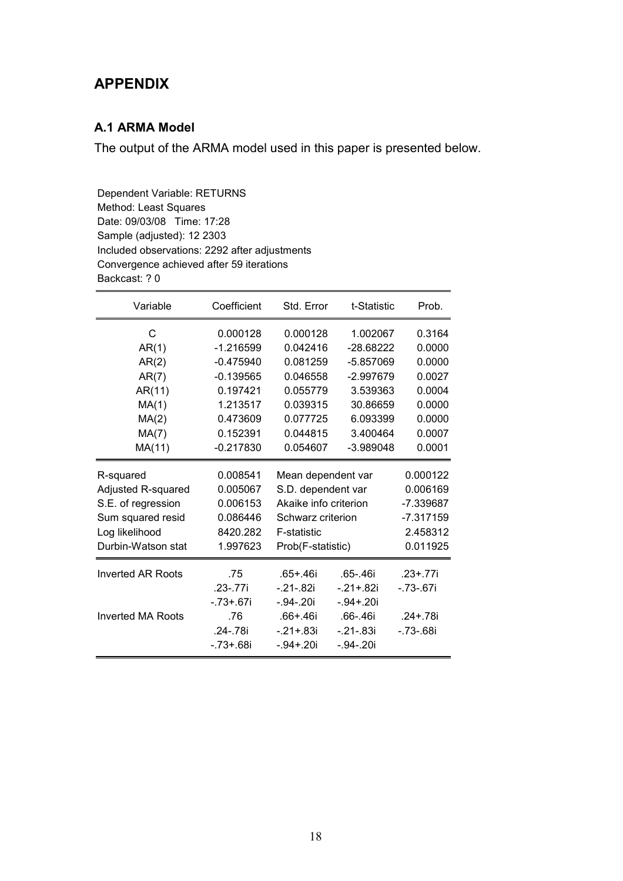## APPENDIX

#### A.1 ARMA Model

The output of the ARMA model used in this paper is presented below.

Dependent Variable: RETURNS Method: Least Squares Date: 09/03/08 Time: 17:28 Sample (adjusted): 12 2303 Included observations: 2292 after adjustments Convergence achieved after 59 iterations Backcast: ? 0

| Variable                                      | Coefficient                                                              | Std. Error<br>t-Statistic                                                                  |                                                                                          | Prob.                                                          |
|-----------------------------------------------|--------------------------------------------------------------------------|--------------------------------------------------------------------------------------------|------------------------------------------------------------------------------------------|----------------------------------------------------------------|
| C                                             | 0.000128                                                                 | 0.000128                                                                                   | 1.002067                                                                                 | 0.3164                                                         |
| AR(1)                                         | $-1.216599$                                                              | 0.042416                                                                                   | $-28.68222$                                                                              | 0.0000                                                         |
| AR(2)                                         | $-0.475940$                                                              | 0.081259                                                                                   | -5.857069                                                                                | 0.0000                                                         |
| AR(7)                                         | $-0.139565$                                                              | 0.046558                                                                                   | -2.997679                                                                                | 0.0027                                                         |
| AR(11)                                        | 0.197421                                                                 | 0.055779                                                                                   | 3.539363                                                                                 | 0.0004                                                         |
| MA(1)                                         | 1.213517                                                                 | 0.039315                                                                                   | 30.86659                                                                                 | 0.0000                                                         |
| MA(2)                                         | 0.473609                                                                 | 0.077725                                                                                   | 6.093399                                                                                 | 0.0000                                                         |
| MA(7)                                         | 0.152391                                                                 | 0.044815                                                                                   | 3.400464                                                                                 | 0.0007                                                         |
| MA(11)                                        | $-0.217830$                                                              | 0.054607                                                                                   | $-3.989048$                                                                              | 0.0001                                                         |
| R-squared                                     | 0.008541                                                                 | Mean dependent var                                                                         |                                                                                          | 0.000122                                                       |
| Adjusted R-squared                            | 0.005067                                                                 | S.D. dependent var                                                                         |                                                                                          | 0.006169                                                       |
| S.E. of regression                            | 0.006153                                                                 | Akaike info criterion                                                                      |                                                                                          | -7.339687                                                      |
| Sum squared resid                             | 0.086446                                                                 | Schwarz criterion                                                                          |                                                                                          | $-7.317159$                                                    |
| Log likelihood                                | 8420.282                                                                 | <b>F-statistic</b>                                                                         |                                                                                          | 2.458312                                                       |
| Durbin-Watson stat                            | 1.997623                                                                 | Prob(F-statistic)                                                                          |                                                                                          | 0.011925                                                       |
| Inverted AR Roots<br><b>Inverted MA Roots</b> | .75<br>$.23 - .77i$<br>$-.73 + .67i$<br>.76<br>.24-.78i<br>$-.73 + .68i$ | $.65 + .46i$<br>$-.21-.82i$<br>$-.94-.20i$<br>$.66 + .46i$<br>$-.21+.83i$<br>$-.94 + .20i$ | $.65 - .46i$<br>-.21+.82i<br>$-.94 + .20i$<br>$.66 - .46i$<br>$-.21-.83i$<br>$-.94-.20i$ | $.23 + .77i$<br>$-.73-.67i$<br>$.24 + .78i$<br>$-0.73 - 0.68i$ |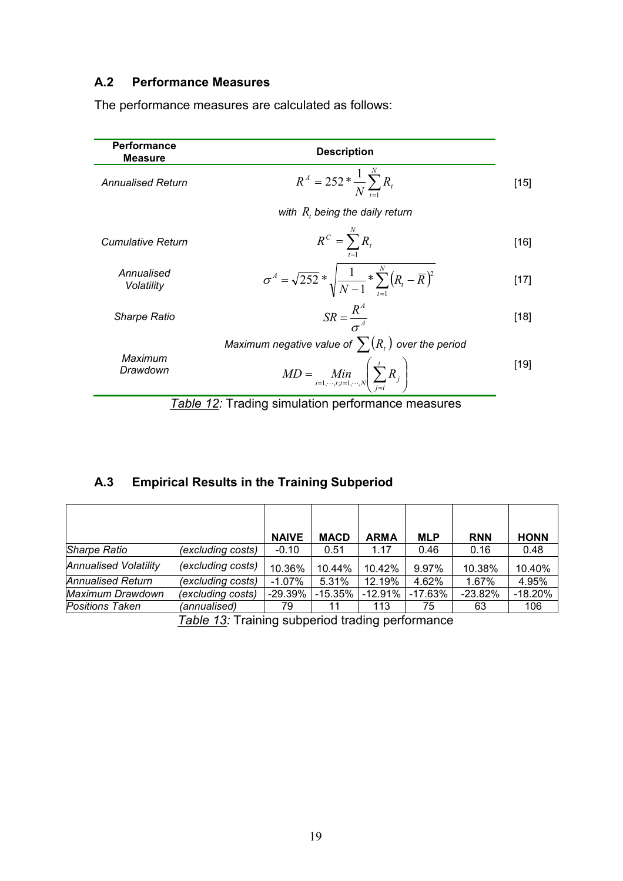### A.2 Performance Measures

The performance measures are calculated as follows:

| <b>Performance</b><br><b>Measure</b> | <b>Description</b>                                                                     |        |  |  |
|--------------------------------------|----------------------------------------------------------------------------------------|--------|--|--|
| <b>Annualised Return</b>             | $R^{A} = 252 * \frac{1}{N} \sum_{i=1}^{N} R_{i}$                                       |        |  |  |
|                                      | with $R_i$ , being the daily return                                                    |        |  |  |
| <b>Cumulative Return</b>             | $R^C = \sum_{t=1}^{N} R_t$                                                             | [16]   |  |  |
| Annualised<br>Volatility             | $\sigma^A = \sqrt{252} * \sqrt{\frac{1}{N-1}} * \sum_{i=1}^{N} (R_i - \overline{R})^2$ | [17]   |  |  |
| <b>Sharpe Ratio</b>                  | $SR = \frac{R^A}{A}$                                                                   | $[18]$ |  |  |
|                                      | Maximum negative value of $\sum(R_{i})$ over the period                                |        |  |  |
| Maximum<br>Drawdown                  | $MD = \lim_{i=1,\cdots,t; t=1,\cdots,N} \left( \sum_{i=i}^{t} R_i \right)$             | [19]   |  |  |

|  | <b>Table 12:</b> Trading simulation performance measures |  |
|--|----------------------------------------------------------|--|
|  |                                                          |  |

# A.3 Empirical Results in the Training Subperiod

|                              |                   | <b>NAIVE</b> | <b>MACD</b> | <b>ARMA</b> | <b>MLP</b> | <b>RNN</b> | <b>HONN</b> |
|------------------------------|-------------------|--------------|-------------|-------------|------------|------------|-------------|
| <b>Sharpe Ratio</b>          | (excluding costs) | $-0.10$      | 0.51        | 1.17        | 0.46       | 0.16       | 0.48        |
| <b>Annualised Volatility</b> | (excluding costs) | 10.36%       | 10.44%      | 10.42%      | 9.97%      | 10.38%     | 10.40%      |
| <b>Annualised Return</b>     | (excluding costs) | $-1.07\%$    | 5.31%       | 12.19%      | 4.62%      | 1.67%      | 4.95%       |
| Maximum Drawdown             | (excluding costs) | $-29.39%$    | $-15.35%$   | $-12.91%$   | $-17.63%$  | $-23.82%$  | $-18.20%$   |
| <b>Positions Taken</b>       | (annualised)      | 79           |             | 113         | 75         | 63         | 106         |
|                              |                   |              |             |             |            |            |             |

Table 13: Training subperiod trading performance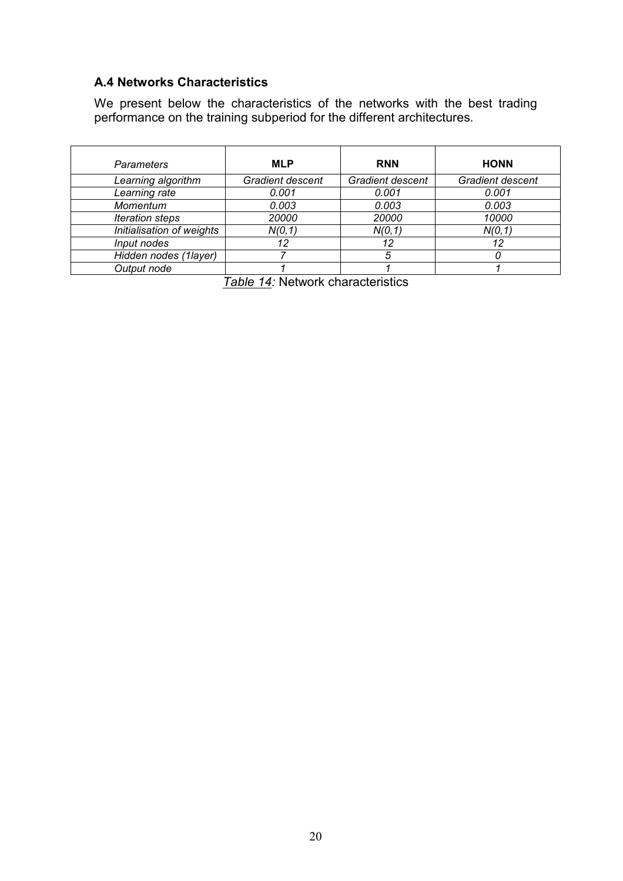### A.4 Networks Characteristics

We present below the characteristics of the networks with the best trading performance on the training subperiod for the different architectures.

| <b>Parameters</b>         | <b>MLP</b>       | <b>RNN</b>       | <b>HONN</b>      |
|---------------------------|------------------|------------------|------------------|
| Learning algorithm        | Gradient descent | Gradient descent | Gradient descent |
| Learning rate             | 0.001            | 0.001            | 0.001            |
| Momentum                  | 0.003            | 0.003            | 0.003            |
| <b>Iteration</b> steps    | 20000            | 20000            | 10000            |
| Initialisation of weights | N(0, 1)          | N(0, 1)          | N(0, 1)          |
| Input nodes               | 12               | 12               | 12               |
| Hidden nodes (1layer)     |                  | 5                |                  |
| Output node               |                  |                  |                  |

Table 14: Network characteristics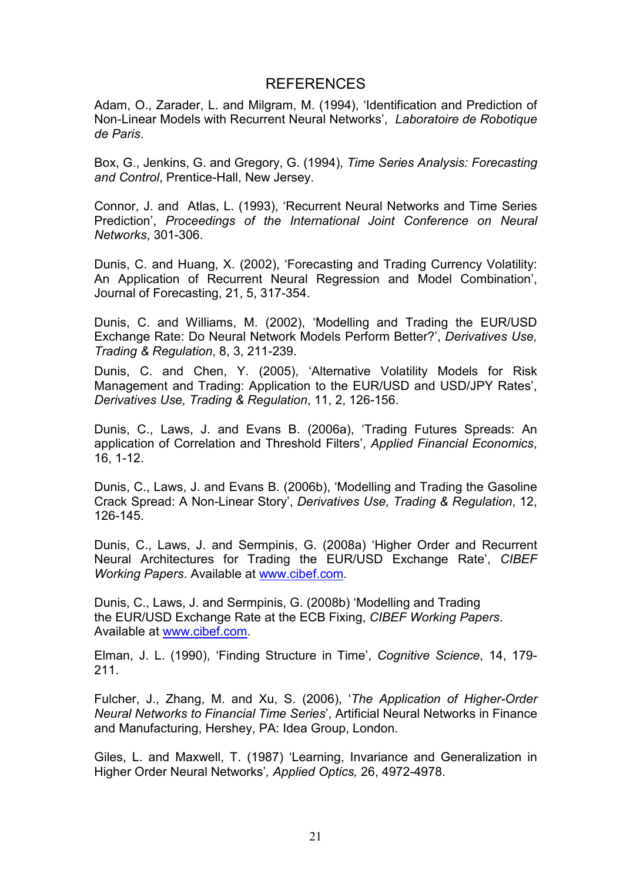#### REFERENCES

Adam, O., Zarader, L. and Milgram, M. (1994), 'Identification and Prediction of Non-Linear Models with Recurrent Neural Networks', Laboratoire de Robotique de Paris.

Box, G., Jenkins, G. and Gregory, G. (1994), Time Series Analysis: Forecasting and Control, Prentice-Hall, New Jersey.

Connor, J. and Atlas, L. (1993), 'Recurrent Neural Networks and Time Series Prediction', Proceedings of the International Joint Conference on Neural Networks, 301-306.

Dunis, C. and Huang, X. (2002), 'Forecasting and Trading Currency Volatility: An Application of Recurrent Neural Regression and Model Combination', Journal of Forecasting, 21, 5, 317-354.

Dunis, C. and Williams, M. (2002), 'Modelling and Trading the EUR/USD Exchange Rate: Do Neural Network Models Perform Better?', Derivatives Use, Trading & Regulation, 8, 3, 211-239.

Dunis, C. and Chen, Y. (2005), 'Alternative Volatility Models for Risk Management and Trading: Application to the EUR/USD and USD/JPY Rates', Derivatives Use, Trading & Regulation, 11, 2, 126-156.

Dunis, C., Laws, J. and Evans B. (2006a), 'Trading Futures Spreads: An application of Correlation and Threshold Filters', Applied Financial Economics, 16, 1-12.

Dunis, C., Laws, J. and Evans B. (2006b), 'Modelling and Trading the Gasoline Crack Spread: A Non-Linear Story', Derivatives Use, Trading & Regulation, 12, 126-145.

Dunis, C., Laws, J. and Sermpinis, G. (2008a) 'Higher Order and Recurrent Neural Architectures for Trading the EUR/USD Exchange Rate', CIBEF Working Papers. Available at www.cibef.com.

Dunis, C., Laws, J. and Sermpinis, G. (2008b) 'Modelling and Trading the EUR/USD Exchange Rate at the ECB Fixing, CIBEF Working Papers. Available at www.cibef.com.

Elman, J. L. (1990), 'Finding Structure in Time', Cognitive Science, 14, 179- 211.

Fulcher, J., Zhang, M. and Xu, S. (2006), 'The Application of Higher-Order Neural Networks to Financial Time Series', Artificial Neural Networks in Finance and Manufacturing, Hershey, PA: Idea Group, London.

Giles, L. and Maxwell, T. (1987) 'Learning, Invariance and Generalization in Higher Order Neural Networks', Applied Optics, 26, 4972-4978.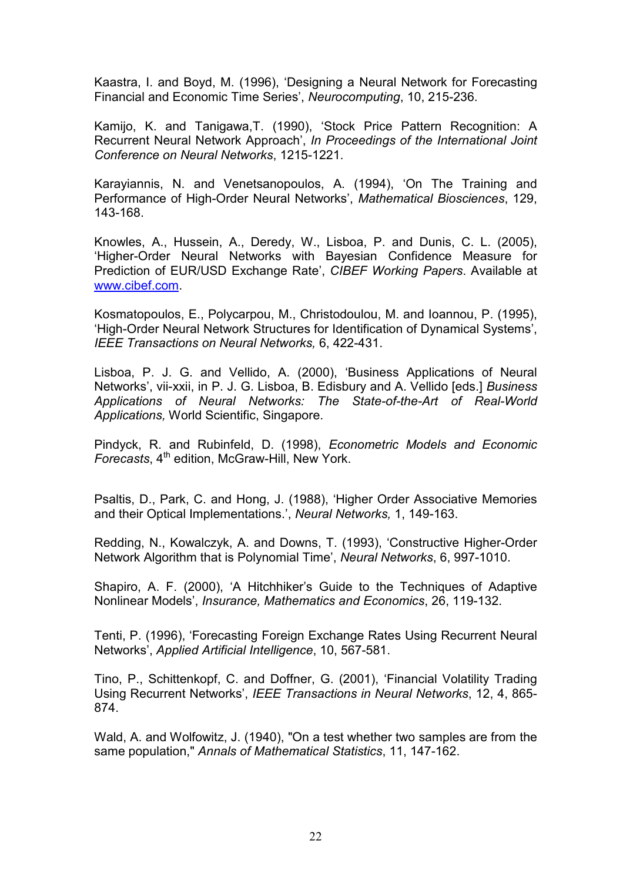Kaastra, I. and Boyd, M. (1996), 'Designing a Neural Network for Forecasting Financial and Economic Time Series', Neurocomputing, 10, 215-236.

Kamijo, K. and Tanigawa,T. (1990), 'Stock Price Pattern Recognition: A Recurrent Neural Network Approach', In Proceedings of the International Joint Conference on Neural Networks, 1215-1221.

Karayiannis, N. and Venetsanopoulos, A. (1994), 'On The Training and Performance of High-Order Neural Networks', Mathematical Biosciences, 129, 143-168.

Knowles, A., Hussein, A., Deredy, W., Lisboa, P. and Dunis, C. L. (2005), 'Higher-Order Neural Networks with Bayesian Confidence Measure for Prediction of EUR/USD Exchange Rate', CIBEF Working Papers. Available at www.cibef.com.

Kosmatopoulos, E., Polycarpou, M., Christodoulou, M. and Ioannou, P. (1995), 'High-Order Neural Network Structures for Identification of Dynamical Systems', IEEE Transactions on Neural Networks, 6, 422-431.

Lisboa, P. J. G. and Vellido, A. (2000), 'Business Applications of Neural Networks', vii-xxii, in P. J. G. Lisboa, B. Edisbury and A. Vellido [eds.] Business Applications of Neural Networks: The State-of-the-Art of Real-World Applications, World Scientific, Singapore.

Pindyck, R. and Rubinfeld, D. (1998), Econometric Models and Economic Forecasts, 4<sup>th</sup> edition, McGraw-Hill, New York.

Psaltis, D., Park, C. and Hong, J. (1988), 'Higher Order Associative Memories and their Optical Implementations.', Neural Networks, 1, 149-163.

Redding, N., Kowalczyk, A. and Downs, T. (1993), 'Constructive Higher-Order Network Algorithm that is Polynomial Time', Neural Networks, 6, 997-1010.

Shapiro, A. F. (2000), 'A Hitchhiker's Guide to the Techniques of Adaptive Nonlinear Models', Insurance, Mathematics and Economics, 26, 119-132.

Tenti, P. (1996), 'Forecasting Foreign Exchange Rates Using Recurrent Neural Networks', Applied Artificial Intelligence, 10, 567-581.

Tino, P., Schittenkopf, C. and Doffner, G. (2001), 'Financial Volatility Trading Using Recurrent Networks', IEEE Transactions in Neural Networks, 12, 4, 865- 874.

Wald, A. and Wolfowitz, J. (1940), "On a test whether two samples are from the same population," Annals of Mathematical Statistics, 11, 147-162.